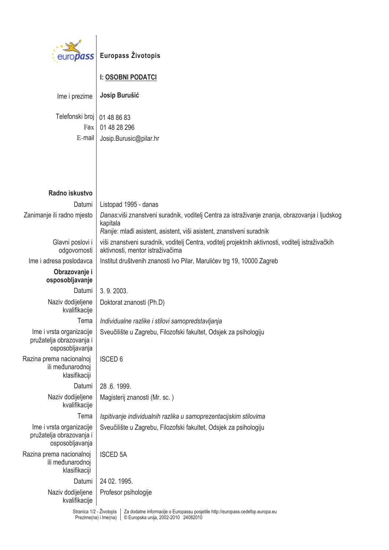

| Ime i prezime                                                           | Josip Burušić                                                                                                                                                                      |
|-------------------------------------------------------------------------|------------------------------------------------------------------------------------------------------------------------------------------------------------------------------------|
| Telefonski broj<br>Fax<br>E-mail                                        | 01 48 86 83<br>01 48 28 296<br>Josip.Burusic@pilar.hr                                                                                                                              |
|                                                                         |                                                                                                                                                                                    |
| Radno iskustvo                                                          |                                                                                                                                                                                    |
| Datumi                                                                  | Listopad 1995 - danas                                                                                                                                                              |
| Zanimanje ili radno mjesto                                              | Danas:viši znanstveni suradnik, voditelj Centra za istraživanje znanja, obrazovanja i ljudskog<br>kapitala<br>Ranije: mlađi asistent, asistent, viši asistent, znanstveni suradnik |
| Glavni poslovi i<br>odgovornosti                                        | viši znanstveni suradnik, voditelj Centra, voditelj projektnih aktivnosti, voditelj istraživačkih<br>aktivnosti, mentor istraživačima                                              |
| Ime i adresa poslodavca                                                 | Institut društvenih znanosti Ivo Pilar, Marulićev trg 19, 10000 Zagreb                                                                                                             |
| Obrazovanje i                                                           |                                                                                                                                                                                    |
| osposobljavanje                                                         |                                                                                                                                                                                    |
| Datumi                                                                  | 3.9.2003.                                                                                                                                                                          |
| Naziv dodijeljene<br>kvalifikacije                                      | Doktorat znanosti (Ph.D)                                                                                                                                                           |
| Tema                                                                    | Individualne razlike i stilovi samopredstavljanja                                                                                                                                  |
| Ime i vrsta organizacije<br>pružatelja obrazovanja i<br>osposobljavanja | Sveučilište u Zagrebu, Filozofski fakultet, Odsjek za psihologiju                                                                                                                  |
| Razina prema nacionalnoj<br>ili međunarodnoj<br>klasifikaciji           | <b>ISCED 6</b>                                                                                                                                                                     |
| Datumi                                                                  | 28 .6. 1999.                                                                                                                                                                       |
| Naziv dodijeljene<br>kvalifikacije                                      | Magisterij znanosti (Mr. sc.)                                                                                                                                                      |
| Tema                                                                    | Ispitivanje individualnih razlika u samoprezentacijskim stilovima                                                                                                                  |
| Ime i vrsta organizacije<br>pružatelja obrazovanja i<br>osposobljavanja | Sveučilište u Zagrebu, Filozofski fakultet, Odsjek za psihologiju                                                                                                                  |
| Razina prema nacionalnoj<br>ili međunarodnoj<br>klasifikaciji           | <b>ISCED 5A</b>                                                                                                                                                                    |
| Datumi                                                                  | 24 02. 1995.                                                                                                                                                                       |
| Naziv dodijeljene<br>kvalifikacije                                      | Profesor psihologije                                                                                                                                                               |
| Stranica 1/2 - Životopis<br>Prezime(na) i Ime(na)                       | Za dodatne informacije o Europassu posjetite http://europass.cedefop.europa.eu<br>© Europska unija, 2002-2010 24082010                                                             |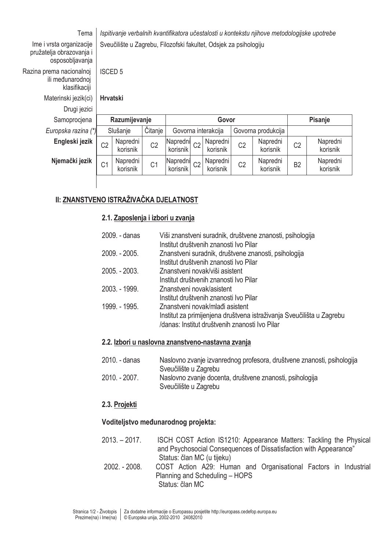| Tema                                                                    | Ispitivanje verbalnih kvantifikatora učestalosti u kontekstu njihove metodologijske upotrebe |                      |                |                      |                |                      |                |                      |                |                      |
|-------------------------------------------------------------------------|----------------------------------------------------------------------------------------------|----------------------|----------------|----------------------|----------------|----------------------|----------------|----------------------|----------------|----------------------|
| Ime i vrsta organizacije<br>pružatelja obrazovanja i<br>osposobljavanja | Sveučilište u Zagrebu, Filozofski fakultet, Odsjek za psihologiju                            |                      |                |                      |                |                      |                |                      |                |                      |
| Razina prema nacionalnoj<br>ili međunarodnoj<br>klasifikaciji           |                                                                                              | <b>ISCED 5</b>       |                |                      |                |                      |                |                      |                |                      |
| Materinski jezik(ci)                                                    |                                                                                              | <b>Hrvatski</b>      |                |                      |                |                      |                |                      |                |                      |
| Drugi jezici                                                            |                                                                                              |                      |                |                      |                |                      |                |                      |                |                      |
|                                                                         | Razumijevanje                                                                                |                      | Govor          |                      |                |                      | Pisanje        |                      |                |                      |
| Samoprocjena                                                            |                                                                                              |                      |                |                      |                |                      |                |                      |                |                      |
| Europska razina (*)                                                     |                                                                                              | Slušanje             | Čitanje        |                      |                | Govorna interakcija  |                | Govorna produkcija   |                |                      |
| Engleski jezik                                                          | C <sub>2</sub>                                                                               | Napredni<br>korisnik | C <sub>2</sub> | Napredni<br>korisnik | C <sub>2</sub> | Napredni<br>korisnik | C <sub>2</sub> | Napredni<br>korisnik | C <sub>2</sub> | Napredni<br>korisnik |
| Njemački jezik                                                          | C <sub>1</sub>                                                                               | Napredni<br>korisnik | C <sub>1</sub> | Napredni<br>korisnik | C <sub>2</sub> | Napredni<br>korisnik | C <sub>2</sub> | Napredni<br>korisnik | B <sub>2</sub> | Napredni<br>korisnik |

# II: ZNANSTVENO ISTRAŽIVAČKA DJELATNOST

#### 2.1. Zaposlenja i izbori u zvanja

| 2009. - danas   | Viši znanstveni suradnik, društvene znanosti, psihologija<br>Institut društvenih znanosti Ivo Pilar                                                        |
|-----------------|------------------------------------------------------------------------------------------------------------------------------------------------------------|
| 2009. - 2005.   | Znanstveni suradnik, društvene znanosti, psihologija<br>Institut društvenih znanosti Ivo Pilar                                                             |
| $2005. - 2003.$ | Znanstveni novak/viši asistent<br>Institut društvenih znanosti Ivo Pilar                                                                                   |
| 2003. - 1999.   | Znanstveni novak/asistent<br>Institut društvenih znanosti Ivo Pilar                                                                                        |
| 1999. - 1995.   | Znanstveni novak/mlađi asistent<br>Institut za primijenjena društvena istraživanja Sveučilišta u Zagrebu<br>/danas: Institut društvenih znanosti Ivo Pilar |

## 2.2. Izbori u naslovna znanstveno-nastavna zvanja

- 2010. danas Naslovno zvanje izvanrednog profesora, društvene znanosti, psihologija Sveučilište u Zagrebu 2010. - 2007. Naslovno zvanje docenta, društvene znanosti, psihologija
- Sveučilište u Zagrebu

## 2.3. Projekti

#### Voditeljstvo međunarodnog projekta:

- $2013. 2017.$ ISCH COST Action IS1210: Appearance Matters: Tackling the Physical and Psychosocial Consequences of Dissatisfaction with Appearance" Status: član MC (u tijeku)
- $2002 2008$ COST Action A29: Human and Organisational Factors in Industrial Planning and Scheduling - HOPS Status: član MC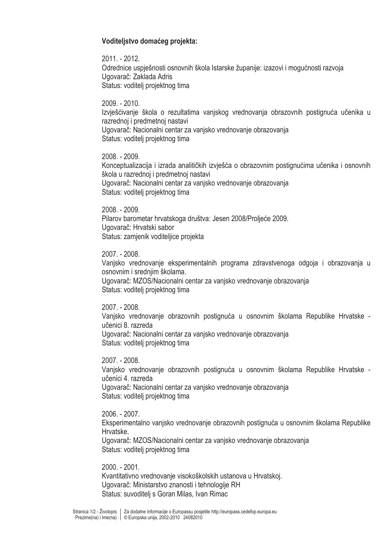#### Voditelistvo domaćeg projekta:

2011. - 2012. Odrednice uspješnosti osnovnih škola Istarske županije: izazovi i mogućnosti razvoja Ugovarač: Zaklada Adris Status: voditelj projektnog tima

 $2009. - 2010.$ Izviešćivanie škola o rezultatima vaniskog vrednovania obrazovnih postignuća učenika u razrednoj i predmetnoj nastavi Ugovarač: Nacionalni centar za vanjsko vrednovanje obrazovanja Status: voditelj projektnog tima

2008. - 2009. Konceptualizacija i izrada analitičkih izvješća o obrazovnim postignućima učenika i osnovnih škola u razrednoj i predmetnoj nastavi Ugovarač: Nacionalni centar za vanisko vrednovanie obrazovania Status: voditelj projektnog tima

2008. - 2009. Pilarov barometar hrvatskoga društva: Jesen 2008/Proljeće 2009. Ugovarač: Hrvatski sabor Status: zamjenik voditeljice projekta

2007. - 2008.

Vanjsko vrednovanje eksperimentalnih programa zdravstvenoga odgoja i obrazovanja u osnovnim i srednjim školama. Ugovarač: MZOS/Nacionalni centar za vanjsko vrednovanje obrazovanja Status: voditelj projektnog tima

2007. - 2008.

Vanjsko vrednovanje obrazovnih postignuća u osnovnim školama Republike Hrvatske učenici 8. razreda Ugovarač: Nacionalni centar za vanjsko vrednovanje obrazovanja Status: voditelj projektnog tima

2007. - 2008. Vanjsko vrednovanje obrazovnih postignuća u osnovnim školama Republike Hrvatske učenici 4. razreda Ugovarač: Nacionalni centar za vanjsko vrednovanje obrazovanja Status: voditelj projektnog tima

2006. - 2007. Eksperimentalno vanjsko vrednovanje obrazovnih postignuća u osnovnim školama Republike Hrvatske. Ugovarač: MZOS/Nacionalni centar za vanjsko vrednovanje obrazovanja Status: voditelj projektnog tima

 $2000 - 2001$ . Kvantitativno vrednovanie visokoškolskih ustanova u Hrvatskoj. Ugovarač: Ministarstvo znanosti i tehnologije RH Status: suvoditelj s Goran Milas, Ivan Rimac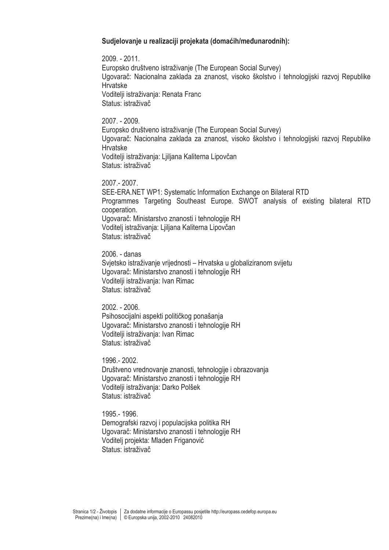#### Sudjelovanje u realizaciji projekata (domaćih/međunarodnih):

2009. - 2011. Europsko društveno istraživanje (The European Social Survey) Ugovarač: Nacionalna zaklada za znanost, visoko školstvo i tehnologijski razvoj Republike Hrvatske Voditelji istraživanja: Renata Franc Status: istraživač

2007. - 2009.

Europsko društveno istraživanje (The European Social Survey) Ugovarač: Nacionalna zaklada za znanost, visoko školstvo i tehnologijski razvoj Republike **Hrvatske** Voditelji istraživanja: Ljiljana Kaliterna Lipovčan Status: istraživač

 $2007 - 2007$ SEE-ERA.NET WP1: Systematic Information Exchange on Bilateral RTD Programmes Targeting Southeast Europe. SWOT analysis of existing bilateral RTD cooperation. Ugovarač: Ministarstvo znanosti i tehnologije RH Voditelj istraživanja: Ljiljana Kaliterna Lipovčan Status: istraživač

2006. - danas Svjetsko istraživanje vrijednosti – Hrvatska u globaliziranom svijetu Ugovarač: Ministarstvo znanosti i tehnologije RH Voditelji istraživanja: Ivan Rimac Status: istraživač

2002. - 2006. Psihosocijalni aspekti političkog ponašanja Ugovarač: Ministarstvo znanosti i tehnologije RH Voditelji istraživanja: Ivan Rimac Status: istraživač

1996. - 2002. Društveno vrednovanje znanosti, tehnologije i obrazovanja Ugovarač: Ministarstvo znanosti i tehnologije RH Voditelji istraživanja: Darko Polšek Status: istraživač

1995 - 1996. Demografski razvoj i populacijska politika RH Ugovarač: Ministarstvo znanosti i tehnologije RH Voditelj projekta: Mladen Friganović Status: istraživač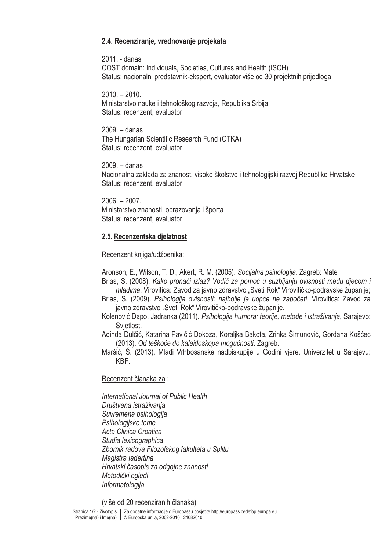#### 2.4. Recenziranje, vrednovanje projekata

2011. - danas COST domain: Individuals, Societies, Cultures and Health (ISCH) Status: nacionalni predstavnik-ekspert, evaluator više od 30 projektnih prijedloga

 $2010 - 2010$ . Ministarstvo nauke i tehnološkog razvoja, Republika Srbija Status: recenzent. evaluator

 $2009. - dans$ The Hungarian Scientific Research Fund (OTKA) Status: recenzent. evaluator

 $2009 - \text{danas}$ Nacionalna zaklada za znanost, visoko školstvo i tehnologijski razvoj Republike Hrvatske Status: recenzent. evaluator

 $2006. - 2007.$ Ministarstvo znanosti, obrazovanja i športa Status: recenzent. evaluator

#### 2.5. Recenzentska dielatnost

#### Recenzent knjiga/udžbenika:

Aronson, E., Wilson, T. D., Akert, R. M. (2005). Socijalna psihologija. Zagreb: Mate

Brlas, S. (2008). Kako pronaći izlaz? Vodič za pomoć u suzbijanju ovisnosti među djecom i mladima. Virovitica: Zavod za javno zdravstvo "Sveti Rok" Virovitičko-podravske županije;

- Brlas, S. (2009). Psihologija ovisnosti: najbolje je uopće ne započeti. Virovitica: Zavod za javno zdravstvo "Sveti Rok" Virovitičko-podravske županije.
- Kolenović Đapo, Jadranka (2011). Psihologija humora: teorije, metode i istraživanja, Sarajevo: Svietlost.
- Adinda Dulčić, Katarina Pavičić Dokoza, Koralika Bakota, Zrinka Šimunović, Gordana Košćec (2013). Od teškoće do kaleidoskopa mogućnosti. Zagreb.

Maršić, Š. (2013). Mladi Vrhbosanske nadbiskupije u Godini vjere. Univerzitet u Sarajevu: KBF.

#### Recenzent članaka za :

International Journal of Public Health Društvena istraživanja Suvremena psihologija Psihologijske teme Acta Clinica Croatica Studia lexicographica Zbornik radova Filozofskog fakulteta u Splitu Magistra ladertina Hrvatski časopis za odgojne znanosti Metodički ogledi Informatologija

(više od 20 recenziranih članaka)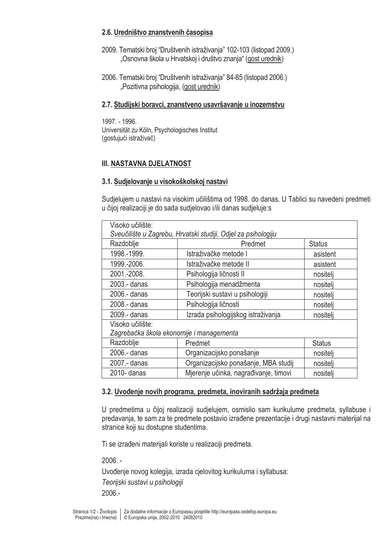#### 2.6. Uredništvo znanstvenih časopisa

- 2009. Tematski broj "Društvenih istraživanja" 102-103 (listopad 2009.) "Osnovna škola u Hrvatskoj i društvo znanja" (gost urednik)
- 2006. Tematski broj "Društvenih istraživanja" 84-85 (listopad 2006.) "Pozitivna psihologija, (gost urednik)

#### 2.7. Studijski boravci, znanstveno usavršavanje u inozemstvu

1997. - 1996. Universität zu Köln, Psychologisches Institut (gostujući istraživač)

## **III. NASTAVNA DJELATNOST**

#### 3.1. Sudjelovanje u visokoškolskoj nastavi

Sudjelujem u nastavi na visokim učilištima od 1998. do danas. U Tablici su navedeni predmeti u čijoj realizaciji je do sada sudjelovao i/ili danas sudjeluje:s

| Visoko učilište:                                              |                                       |               |  |  |
|---------------------------------------------------------------|---------------------------------------|---------------|--|--|
| Sveučilište u Zagrebu, Hrvatski studiji, Odjel za psihologiju |                                       |               |  |  |
| Razdoblje                                                     | Predmet                               | <b>Status</b> |  |  |
| 1998.-1999.                                                   | Istraživačke metode I                 | asistent      |  |  |
| 1999.-2006.                                                   | Istraživačke metode II                | asistent      |  |  |
| 2001.-2008.                                                   | Psihologija ličnosti II               | nositeli      |  |  |
| 2003 - danas                                                  | Psihologija menadžmenta               | nositelj      |  |  |
| 2006 - danas                                                  | Teorijski sustavi u psihologiji       | nositeli      |  |  |
| 2008 - danas                                                  | Psihologija ličnosti                  | nositelj      |  |  |
| 2009 - danas                                                  | Izrada psihologijskog istraživanja    | nositeli      |  |  |
| Visoko učilište:                                              |                                       |               |  |  |
| Zagrebačka škola ekonomije i managementa                      |                                       |               |  |  |
| Razdoblje                                                     | Predmet                               | <b>Status</b> |  |  |
| 2006.- danas                                                  | Organizacijsko ponašanje              | nositelj      |  |  |
| 2007 .- danas                                                 | Organizacijsko ponašanje, MBA studij  | nositelj      |  |  |
| 2010- danas                                                   | Mjerenje učinka, nagrađivanje, timovi | nositelj      |  |  |

## 3.2. Uvođenje novih programa, predmeta, inoviranih sadržaja predmeta

U predmetima u čijoj realizaciji sudjelujem, osmislio sam kurikulume predmeta, syllabuse i predavanja, te sam za te predmete postavio izrađene prezentacije i drugi nastavni materijal na stranice koji su dostupne studentima.

Ti se izrađeni materijali koriste u realizaciji predmeta.

 $2006. -$ 

Uvođenje novog kolegija, izrada cjelovitog kurikuluma i syllabusa: Teorijski sustavi u psihologiji  $2006 -$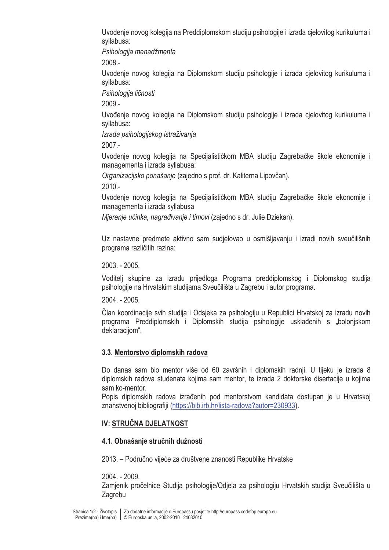Uvođenje novog kolegija na Preddiplomskom studiju psihologije i izrada cjelovitog kurikuluma i svllabusa:

Psihologija menadžmenta

 $2008 -$ 

Uvođenje novog kolegija na Diplomskom studiju psihologije i izrada cjelovitog kurikuluma i syllabusa:

Psihologija ličnosti

2009.-

Uvođenje novog kolegija na Diplomskom studiju psihologije i izrada cjelovitog kurikuluma i syllabusa:

Izrada psihologijskog istraživanja

 $2007 -$ 

Uvođenie novog kolegija na Specijalističkom MBA studiju Zagrebačke škole ekonomije i managementa i izrada svllabusa:

Organizacijsko ponašanje (zajedno s prof. dr. Kaliterna Lipovčan).

 $2010. -$ 

Uvođenje novog kolegija na Specijalističkom MBA studiju Zagrebačke škole ekonomije i managementa i izrada syllabusa

Mjerenje učinka, nagrađivanje i timovi (zajedno s dr. Julie Dziekan).

Uz nastavne predmete aktivno sam sudjelovao u osmišljavanju i izradi novih sveučilišnih programa različitih razina:

2003. - 2005.

Voditeli skupine za izradu prijedloga Programa preddiplomskog i Diplomskog studija psihologije na Hrvatskim studijama Sveučilišta u Zagrebu i autor programa.

2004. - 2005.

Član koordinacije svih studija i Odsjeka za psihologiju u Republici Hrvatskoj za izradu novih programa Preddiplomskih i Diplomskih studija psihologije usklađenih s "bolonjskom deklaraciiom".

## 3.3. Mentorstvo diplomskih radova

Do danas sam bio mentor više od 60 završnih i diplomskih radnji. U tijeku je izrada 8 diplomskih radova studenata kojima sam mentor, te izrada 2 doktorske disertacije u kojima sam ko-mentor.

Popis diplomskih radova izrađenih pod mentorstvom kandidata dostupan je u Hrvatskoj znanstvenoj bibliografiji (https://bib.irb.hr/lista-radova?autor=230933).

# **IV: STRUČNA DJELATNOST**

## 4.1. Obnašanie stručnih dužnosti

2013. – Područno vijeće za društvene znanosti Republike Hrvatske

 $2004 - 2009$ 

Zamjenik pročelnice Studija psihologije/Odjela za psihologiju Hrvatskih studija Sveučilišta u Zagrebu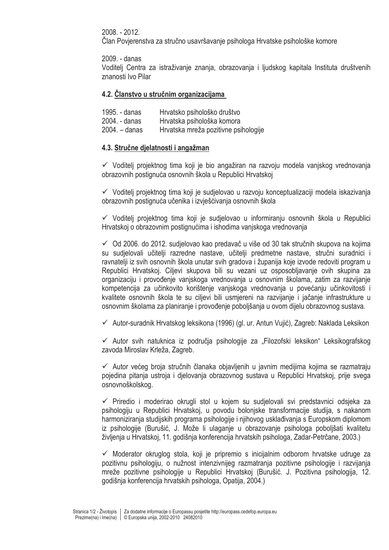2008. - 2012.

Član Povierenstva za stručno usavršavanie psihologa Hrvatske psihološke komore

2009. - danas

Voditelj Centra za istraživanje znanja, obrazovanja i ljudskog kapitala Instituta društvenih znanosti Ivo Pilar

#### 4.2. Članstvo u stručnim organizacijama

| 1995. - danas   | Hrvatsko psihološko društvo          |
|-----------------|--------------------------------------|
| 2004. - danas   | Hrvatska psihološka komora           |
| $2004. -$ danas | Hrvatska mreža pozitivne psihologije |

#### 4.3. Stručne dielatnosti i angažman

√ Voditelj projektnog tima koji je bio angažiran na razvoju modela vanjskog vrednovanja obrazovnih postignuća osnovnih škola u Republici Hrvatskoj

✓ Voditeli projektnog tima koji je sudjelovao u razvoju konceptualizaciji modela iskazivanja obrazovnih postignuća učenika i izvješćivanja osnovnih škola

 $\checkmark$  Voditeli projektnog tima koji je sudjelovao u informiranju osnovnih škola u Republici Hrvatskoj o obrazovnim postignućima i ishodima vanjskoga vrednovanja

✓ Od 2006. do 2012. sudjelovao kao predavač u više od 30 tak stručnih skupova na kojima su sudjelovali učitelji razredne nastave, učitelji predmetne nastave, stručni suradnici i ravnatelji iz svih osnovnih škola unutar svih gradova i županija koje izvode redoviti program u Republici Hrvatskoj. Ciljevi skupova bili su vezani uz osposobljavanje ovih skupina za organizaciju i provođenje vanjskoga vrednovanja u osnovnim školama, zatim za razvijanje kompetencija za učinkovito korištenje vanjskoga vrednovanja u povećanju učinkovitosti i kvalitete osnovnih škola te su ciljevi bili usmjereni na razvijanje i jačanje infrastrukture u osnovnim školama za planiranje i provođenje poboljšanja u ovom dijelu obrazovnog sustava.

← Autor-suradnik Hrvatskog leksikona (1996) (gl. ur. Antun Vujić), Zagreb: Naklada Leksikon

✓ Autor svih natuknica iz područja psihologije za "Filozofski leksikon" Leksikografskog zavoda Miroslav Krleža, Zagreb.

✓ Autor većeg broja stručnih članaka objavljenih u javnim medijima kojima se razmatraju pojedina pitanja ustroja i djelovanja obrazovnog sustava u Republici Hrvatskoj, prije svega osnovnoškolskog.

 $\checkmark$  Priredio i moderirao okrugli stol u kojem su sudjelovali svi predstavnici odsjeka za psihologiju u Republici Hrvatskoj, u povodu bolonjske transformacije studija, s nakanom harmoniziranja studijskih programa psihologije i njihovog usklađivanja s Europskom diplomom iz psihologije (Burušić, J. Može li ulaganje u obrazovanje psihologa pobolišati kvalitetu življenja u Hrvatskoj, 11. godišnja konferencija hrvatskih psihologa, Zadar-Petrčane, 2003.)

 $\checkmark$  Moderator okruglog stola, koji je pripremio s inicijalnim odborom hrvatske udruge za pozitivnu psihologiju, o nužnost intenzivnijeg razmatranja pozitivne psihologije i razvijanja mreže pozitivne psihologije u Republici Hrvatskoj (Burušić. J. Pozitivna psihologija, 12. godišnja konferencija hrvatskih psihologa, Opatija, 2004.)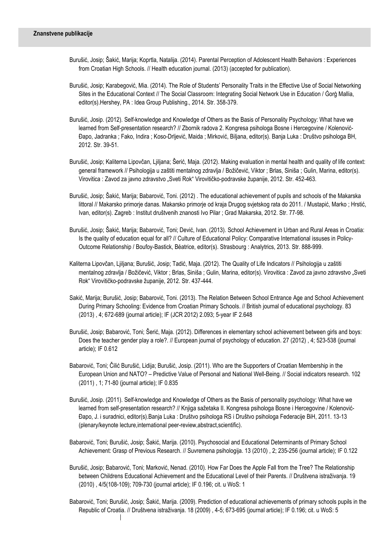- Burušić, Josip; Šakić, Marija; Koprtla, Natalija. (2014). Parental Perception of Adolescent Health Behaviors : Experiences from Croatian High Schools. // Health education journal. (2013) (accepted for publication).
- Burušić, Josip; Karabegović, Mia. (2014). The Role of Students' Personality Traits in the Effective Use of Social Networking Sites in the Educational Context // The Social Classroom: Integrating Social Network Use in Education / Ġorġ Mallia, editor(s).Hershey, PA : Idea Group Publishing., 2014. Str. 358-379.
- Burušić, Josip. (2012). Self-knowledge and Knowledge of Others as the Basis of Personality Psychology: What have we learned from Self-presentation research? // Zbornik radova 2. Kongresa psihologa Bosne i Hercegovine / Kolenović-Đapo, Jadranka ; Fako, Indira ; Koso-Drljević, Maida ; Mirković, Biljana, editor(s). Banja Luka : Društvo psihologa BH, 2012. Str. 39-51.
- Burušić, Josip; Kaliterna Lipovčan, Ljiljana; Šerić, Maja. (2012). Making evaluation in mental health and quality of life context: general framework // Psihologija u zaštiti mentalnog zdravlja / Božičević, Viktor ; Brlas, Siniša ; Gulin, Marina, editor(s). Virovitica : Zavod za javno zdravstvo "Sveti Rok" Virovitičko-podravske županije, 2012. Str. 452-463.
- Burušić, Josip; Šakić, Marija; Babarović, Toni. (2012) . The educational achievement of pupils and schools of the Makarska littoral // Makarsko primorje danas. Makarsko primorje od kraja Drugog svjetskog rata do 2011. / Mustapić, Marko ; Hrstić, Ivan, editor(s). Zagreb : Institut društvenih znanosti Ivo Pilar ; Grad Makarska, 2012. Str. 77-98.
- Burušić, Josip; Šakić, Marija; Babarović, Toni; Dević, Ivan. (2013). School Achievement in Urban and Rural Areas in Croatia: Is the quality of education equal for all? // Culture of Educational Policy: Comparative International issuses in Policy-Outcome Relationship / Boufoy-Bastick, Béatrice, editor(s). Strasbourg : Analytrics, 2013. Str. 888-999.
- Kaliterna Lipovčan, Ljiljana; Burušić, Josip; Tadić, Maja. (2012). The Quality of Life Indicators // Psihologija u zaštiti mentalnog zdravlja / Božičević, Viktor ; Brlas, Siniša ; Gulin, Marina, editor(s). Virovitica : Zavod za javno zdravstvo "Sveti Rok" Virovitičko-podravske županije, 2012. Str. 437-444.
- Sakić, Marija; Burušić, Josip; Babarović, Toni. (2013). The Relation Between School Entrance Age and School Achievement During Primary Schooling: Evidence from Croatian Primary Schools. // British journal of educational psychology. 83 (2013) , 4; 672-689 (journal article); IF (JCR 2012) 2.093; 5-year IF 2.648
- Burušić, Josip; Babarović, Toni; Šerić, Maja. (2012). Differences in elementary school achievement between girls and boys: Does the teacher gender play a role?. // European journal of psychology of education. 27 (2012) , 4: 523-538 (journal article); IF 0.612
- Babarović, Toni; Čilić Burušić, Lidija; Burušić, Josip. (2011). Who are the Supporters of Croatian Membership in the European Union and NATO? – Predictive Value of Personal and National Well-Being. // Social indicators research. 102 (2011) , 1; 71-80 (journal article); IF 0.835
- Burušić, Josip. (2011). Self-knowledge and Knowledge of Others as the Basis of personality psychology: What have we learned from self-presentation research? // Knjiga sažetaka II. Kongresa psihologa Bosne i Hercegovine / Kolenović-Đapo, J. i suradnici, editor(s).Banja Luka : Društvo psihologa RS i Društvo psihologa Federacije BiH, 2011. 13-13 (plenary/keynote lecture,international peer-review,abstract,scientific).
- Babarović, Toni; Burušić, Josip; Šakić, Marija. (2010). Psychosocial and Educational Determinants of Primary School Achievement: Grasp of Previous Research. // Suvremena psihologija. 13 (2010) , 2; 235-256 (journal article); IF 0.122
- Burušić, Josip; Babarović, Toni; Marković, Nenad. (2010). How Far Does the Apple Fall from the Tree? The Relationship between Childrens Educational Achievement and the Educational Level of their Parents. // Društvena istraživanja. 19 (2010) , 4/5(108-109); 709-730 (journal article); IF 0.196; cit. u WoS: 1
- Babarović, Toni; Burušić, Josip; Šakić, Marija. (2009). Prediction of educational achievements of primary schools pupils in the Republic of Croatia. // Društvena istraživanja. 18 (2009) , 4-5; 673-695 (journal article); IF 0.196; cit. u WoS: 5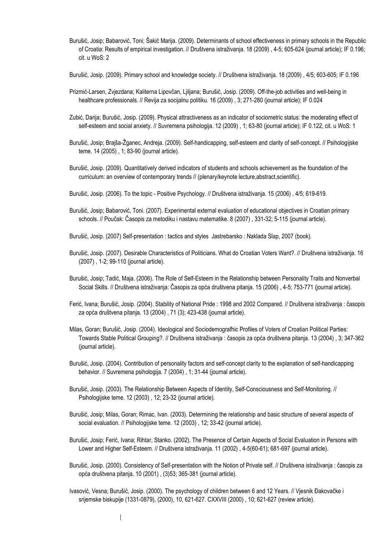- Burušić, Josip; Babarović, Toni; Šakić Marija. (2009). Determinants of school effectiveness in primary schools in the Republic of Croatia: Results of empirical investigation. // Društvena istraživanja. 18 (2009) , 4-5; 605-624 (journal article); IF 0.196; cit. u WoS: 2
- Burušić, Josip. (2009). Primary school and knowledge society. // Društvena istraživanja. 18 (2009) , 4/5; 603-605; IF 0.196
- Prizmić-Larsen, Zvjezdana; Kaliterna Lipovčan, Ljiljana; Burušić, Josip. (2009). Off-the-job activities and well-being in healthcare professionals. // Revija za socijalnu politiku. 16 (2009) , 3; 271-280 (journal article); IF 0.024
- Zubić, Darija; Burušić, Josip. (2009). Physical attractiveness as an indicator of sociometric status: the moderating effect of self-esteem and social anxiety. // Suvremena psihologija. 12 (2009) , 1; 63-80 (journal article); IF 0.122, cit. u WoS: 1
- Burušić, Josip; Brajša-Žganec, Andreja. (2009). Self-handicapping, self-esteem and clarity of self-concept. // Psihologijske teme. 14 (2005) , 1; 83-90 (journal article).
- Burušić, Josip. (2009). Quantitatively derived indicators of students and schools achievement as the foundation of the curriculum: an overview of contemporary trends // (plenary/keynote lecture, abstract, scientific).
- Burušić, Josip. (2006). To the topic Positive Psychology. // Društvena istraživanja. 15 (2006) , 4/5; 619-619.
- Burušić, Josip; Babarović, Toni. (2007). Experimental external evaluation of educational objectives in Croatian primary schools. // Poučak: Časopis za metodiku i nastavu matematike. 8 (2007) , 331-32; 5-115 (journal article).
- Burušić, Josip. (2007) Self-presentation : tactics and styles Jastrebarsko : Naklada Slap, 2007 (book).
- Burušić, Josip. (2007). Desirable Characteristics of Politicians. What do Croatian Voters Want?. // Društvena istraživanja. 16 (2007) , 1-2; 99-110 (journal article).
- Burušić, Josip; Tadić, Maja. (2006). The Role of Self-Esteem in the Relationship between Personality Traits and Nonverbal Social Skills. // Društvena istraživanja: Časopis za opća društvena pitanja. 15 (2006) , 4-5; 753-771 (journal article).
- Ferić, Ivana; Burušić, Josip. (2004). Stability of National Pride : 1998 and 2002 Compared. // Društvena istraživanja : časopis za opća društvena pitanja. 13 (2004) , 71 (3); 423-438 (journal article).
- Milas, Goran; Burušić, Josip. (2004). Ideological and Sociodemografhic Profiles of Voters of Croatian Political Parties: Towards Stable Political Grouping?. // Društvena istraživanja : časopis za opća društvena pitanja. 13 (2004) , 3; 347-362 (journal article).
- Burušić, Josip. (2004). Contribution of personality factors and self-concept clarity to the explanation of self-handicapping behavior. // Suvremena psihologija. 7 (2004) , 1; 31-44 (journal article).
- Burušić, Josip. (2003). The Relationship Between Aspects of Identity, Self-Consciousness and Self-Monitoring. // Psihologijske teme. 12 (2003) , 12; 23-32 (journal article).
- Burušić, Josip; Milas, Goran; Rimac, Ivan. (2003). Determining the relationship and basic structure of several aspects of social evaluation. // Psihologijske teme. 12 (2003) , 12; 33-42 (journal article).
- Burušić, Josip; Ferić, Ivana; Rihtar, Stanko. (2002). The Presence of Certain Aspects of Social Evaluation in Persons with Lower and Higher Self-Esteem. // Društvena istraživanja. 11 (2002) , 4-5(60-61); 681-697 (journal article).
- Burušić, Josip. (2000). Consistency of Self-presentation with the Notion of Private self. // Društvena istraživanja : časopis za opća društvena pitanja. 10 (2001) , (3)53; 365-381 (journal article).
- Ivasović, Vesna; Burušić, Josip. (2000). The psychology of children between 6 and 12 Years. // Vjesnik Đakovačke i srijemske biskupije (1331-0879), (2000), 10, 621-627. CXXVIII (2000) , 10; 621-627 (review article).